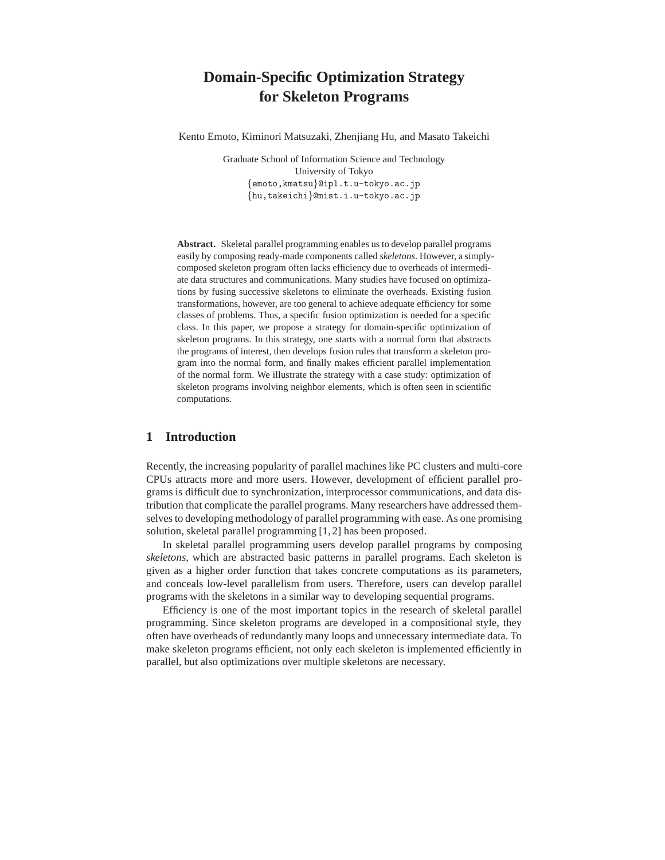# **Domain-Specific Optimization Strategy for Skeleton Programs**

Kento Emoto, Kiminori Matsuzaki, Zhenjiang Hu, and Masato Takeichi

Graduate School of Information Science and Technology University of Tokyo {emoto,kmatsu}@ipl.t.u-tokyo.ac.jp {hu,takeichi}@mist.i.u-tokyo.ac.jp

**Abstract.** Skeletal parallel programming enables us to develop parallel programs easily by composing ready-made components called *skeletons*. However, a simplycomposed skeleton program often lacks efficiency due to overheads of intermediate data structures and communications. Many studies have focused on optimizations by fusing successive skeletons to eliminate the overheads. Existing fusion transformations, however, are too general to achieve adequate efficiency for some classes of problems. Thus, a specific fusion optimization is needed for a specific class. In this paper, we propose a strategy for domain-specific optimization of skeleton programs. In this strategy, one starts with a normal form that abstracts the programs of interest, then develops fusion rules that transform a skeleton program into the normal form, and finally makes efficient parallel implementation of the normal form. We illustrate the strategy with a case study: optimization of skeleton programs involving neighbor elements, which is often seen in scientific computations.

# **1 Introduction**

Recently, the increasing popularity of parallel machines like PC clusters and multi-core CPUs attracts more and more users. However, development of efficient parallel programs is difficult due to synchronization, interprocessor communications, and data distribution that complicate the parallel programs. Many researchers have addressed themselves to developing methodology of parallel programming with ease. As one promising solution, skeletal parallel programming [1, 2] has been proposed.

In skeletal parallel programming users develop parallel programs by composing *skeletons*, which are abstracted basic patterns in parallel programs. Each skeleton is given as a higher order function that takes concrete computations as its parameters, and conceals low-level parallelism from users. Therefore, users can develop parallel programs with the skeletons in a similar way to developing sequential programs.

Efficiency is one of the most important topics in the research of skeletal parallel programming. Since skeleton programs are developed in a compositional style, they often have overheads of redundantly many loops and unnecessary intermediate data. To make skeleton programs efficient, not only each skeleton is implemented efficiently in parallel, but also optimizations over multiple skeletons are necessary.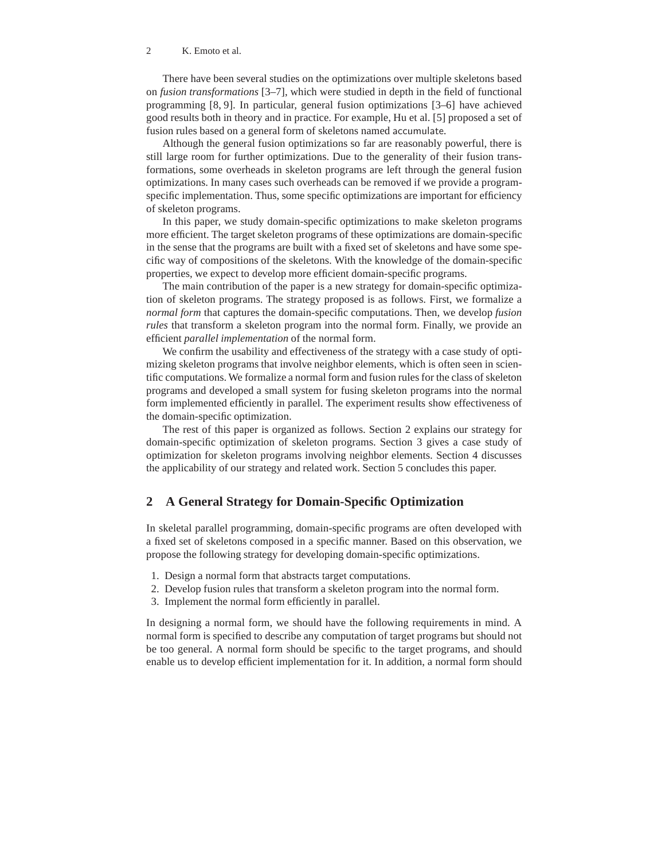#### 2 K. Emoto et al.

There have been several studies on the optimizations over multiple skeletons based on *fusion transformations* [3–7], which were studied in depth in the field of functional programming [8, 9]. In particular, general fusion optimizations [3–6] have achieved good results both in theory and in practice. For example, Hu et al. [5] proposed a set of fusion rules based on a general form of skeletons named accumulate.

Although the general fusion optimizations so far are reasonably powerful, there is still large room for further optimizations. Due to the generality of their fusion transformations, some overheads in skeleton programs are left through the general fusion optimizations. In many cases such overheads can be removed if we provide a programspecific implementation. Thus, some specific optimizations are important for efficiency of skeleton programs.

In this paper, we study domain-specific optimizations to make skeleton programs more efficient. The target skeleton programs of these optimizations are domain-specific in the sense that the programs are built with a fixed set of skeletons and have some specific way of compositions of the skeletons. With the knowledge of the domain-specific properties, we expect to develop more efficient domain-specific programs.

The main contribution of the paper is a new strategy for domain-specific optimization of skeleton programs. The strategy proposed is as follows. First, we formalize a *normal form* that captures the domain-specific computations. Then, we develop *fusion rules* that transform a skeleton program into the normal form. Finally, we provide an efficient *parallel implementation* of the normal form.

We confirm the usability and effectiveness of the strategy with a case study of optimizing skeleton programs that involve neighbor elements, which is often seen in scientific computations. We formalize a normal form and fusion rules for the class of skeleton programs and developed a small system for fusing skeleton programs into the normal form implemented efficiently in parallel. The experiment results show effectiveness of the domain-specific optimization.

The rest of this paper is organized as follows. Section 2 explains our strategy for domain-specific optimization of skeleton programs. Section 3 gives a case study of optimization for skeleton programs involving neighbor elements. Section 4 discusses the applicability of our strategy and related work. Section 5 concludes this paper.

## **2 A General Strategy for Domain-Specific Optimization**

In skeletal parallel programming, domain-specific programs are often developed with a fixed set of skeletons composed in a specific manner. Based on this observation, we propose the following strategy for developing domain-specific optimizations.

- 1. Design a normal form that abstracts target computations.
- 2. Develop fusion rules that transform a skeleton program into the normal form.
- 3. Implement the normal form efficiently in parallel.

In designing a normal form, we should have the following requirements in mind. A normal form is specified to describe any computation of target programs but should not be too general. A normal form should be specific to the target programs, and should enable us to develop efficient implementation for it. In addition, a normal form should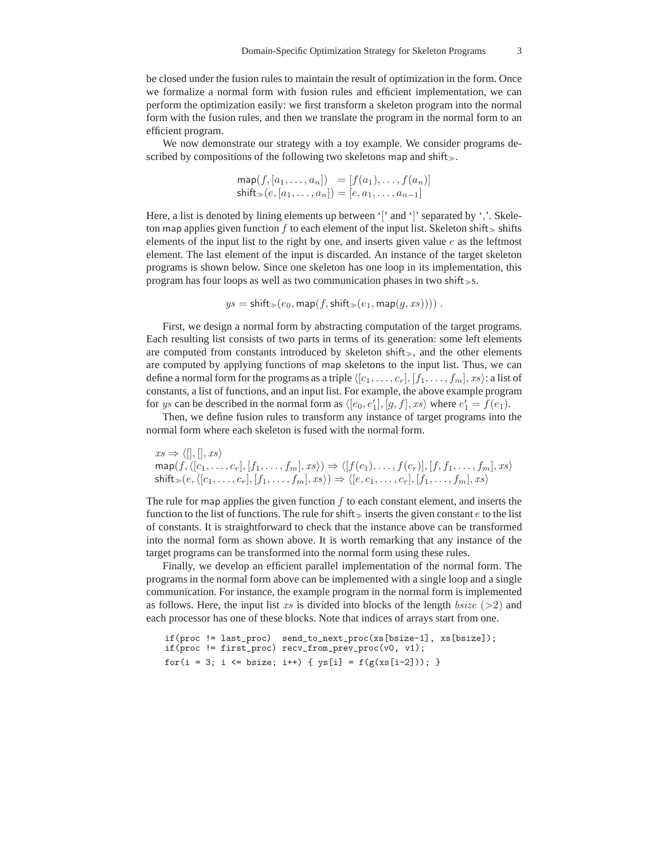be closed under the fusion rules to maintain the result of optimization in the form. Once we formalize a normal form with fusion rules and efficient implementation, we can perform the optimization easily: we first transform a skeleton program into the normal form with the fusion rules, and then we translate the program in the normal form to an efficient program.

We now demonstrate our strategy with a toy example. We consider programs described by compositions of the following two skeletons map and shift≫.

$$
\begin{array}{ll}\n\mathsf{map}(f, [a_1, \dots, a_n]) &= [f(a_1), \dots, f(a_n)] \\
\mathsf{shift}_{\geq}(e, [a_1, \dots, a_n]) = [e, a_1, \dots, a_{n-1}]\n\end{array}
$$

Here, a list is denoted by lining elements up between '[' and ']' separated by ','. Skeleton map applies given function f to each element of the input list. Skeleton shift $\gg$  shifts elements of the input list to the right by one, and inserts given value  $e$  as the leftmost element. The last element of the input is discarded. An instance of the target skeleton programs is shown below. Since one skeleton has one loop in its implementation, this program has four loops as well as two communication phases in two shift≫s.

$$
ys = \text{shift}_{\geqslant}(e_0, \text{map}(f, \text{shift}_{\geqslant}(e_1, \text{map}(g, xs))))\ .
$$

First, we design a normal form by abstracting computation of the target programs. Each resulting list consists of two parts in terms of its generation: some left elements are computed from constants introduced by skeleton shift≫, and the other elements are computed by applying functions of map skeletons to the input list. Thus, we can define a normal form for the programs as a triple  $\langle [c_1, \ldots, c_r], [f_1, \ldots, f_m], xs \rangle$ : a list of constants, a list of functions, and an input list. For example, the above example program for ys can be described in the normal form as  $\langle [e_0, e'_1], [g, f], xs \rangle$  where  $e'_1 = f(e_1)$ .

Then, we define fusion rules to transform any instance of target programs into the normal form where each skeleton is fused with the normal form.

$$
xs \Rightarrow \langle[],[], xs\rangle
$$
  
\n
$$
\mathsf{map}(f, \langle [c_1, \ldots, c_r], [f_1, \ldots, f_m], xs \rangle) \Rightarrow \langle [f(c_1), \ldots, f(c_r)], [f, f_1, \ldots, f_m], xs \rangle
$$
  
\n
$$
\mathsf{shift}_{\geq}(e, \langle [c_1, \ldots, c_r], [f_1, \ldots, f_m], xs \rangle) \Rightarrow \langle [e, c_1, \ldots, c_r], [f_1, \ldots, f_m], xs \rangle
$$

The rule for map applies the given function  $f$  to each constant element, and inserts the function to the list of functions. The rule for shift $\gg$  inserts the given constant e to the list of constants. It is straightforward to check that the instance above can be transformed into the normal form as shown above. It is worth remarking that any instance of the target programs can be transformed into the normal form using these rules.

Finally, we develop an efficient parallel implementation of the normal form. The programs in the normal form above can be implemented with a single loop and a single communication. For instance, the example program in the normal form is implemented as follows. Here, the input list xs is divided into blocks of the length  $bsize$  (>2) and each processor has one of these blocks. Note that indices of arrays start from one.

```
if(proc != last_proc) send_to_next_proc(xs[bsize-1], xs[bsize]);
if(proc != first_proc) recv_from_prev_proc(v0, v1);
for(i = 3; i \leq bsize; i++) \{ ys[i] = f(g(xs[i-2])); \}
```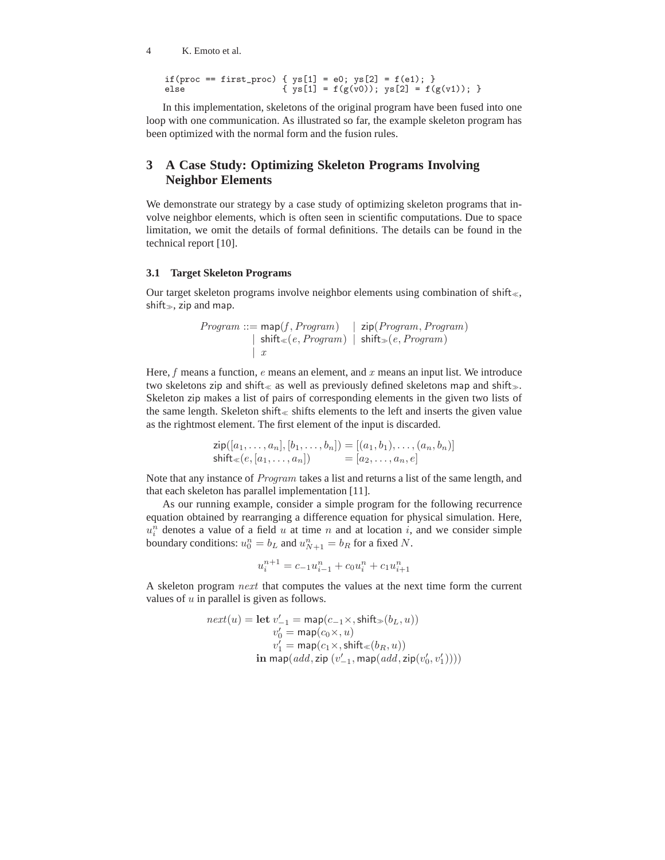4 K. Emoto et al.

if(proc == first\_proc) { ys[1] = e0; ys[2] = f(e1); } else  ${ { {y}}{\rm{s}}[1] = f({g(v0)}); { y}{\rm{s}}[2] = f({g(v1)}); }$ 

In this implementation, skeletons of the original program have been fused into one loop with one communication. As illustrated so far, the example skeleton program has been optimized with the normal form and the fusion rules.

# **3 A Case Study: Optimizing Skeleton Programs Involving Neighbor Elements**

We demonstrate our strategy by a case study of optimizing skeleton programs that involve neighbor elements, which is often seen in scientific computations. Due to space limitation, we omit the details of formal definitions. The details can be found in the technical report [10].

#### **3.1 Target Skeleton Programs**

Our target skeleton programs involve neighbor elements using combination of shift≪, shift $\gg$ , zip and map.

$$
Program ::= \text{map}(f, Program) \mid \text{zip}(Program, Program) \mid \text{shift} \ll (e, Program) \mid \text{shift} \gg (e, Program) \mid x
$$

Here,  $f$  means a function,  $e$  means an element, and  $x$  means an input list. We introduce two skeletons zip and shift≪ as well as previously defined skeletons map and shift≫. Skeleton zip makes a list of pairs of corresponding elements in the given two lists of the same length. Skeleton shift<sup>≪</sup> shifts elements to the left and inserts the given value as the rightmost element. The first element of the input is discarded.

$$
\mathsf{zip}([a_1, \ldots, a_n], [b_1, \ldots, b_n]) = [(a_1, b_1), \ldots, (a_n, b_n)]
$$
  
shift $\leq (e, [a_1, \ldots, a_n])$  =  $[a_2, \ldots, a_n, e]$ 

Note that any instance of Program takes a list and returns a list of the same length, and that each skeleton has parallel implementation [11].

As our running example, consider a simple program for the following recurrence equation obtained by rearranging a difference equation for physical simulation. Here,  $u_i^n$  denotes a value of a field u at time n and at location i, and we consider simple boundary conditions:  $u_0^n = b_L$  and  $u_{N+1}^n = b_R$  for a fixed N.

$$
u_i^{n+1} = c_{-1}u_{i-1}^n + c_0u_i^n + c_1u_{i+1}^n
$$

A skeleton program next that computes the values at the next time form the current values of  $u$  in parallel is given as follows.

$$
\begin{array}{ll} \displaystyle \mathit{next}(u) = \mathbf{let} \; v'_{-1} = \mathsf{map}(c_{-1} \times, \mathsf{shift}_\gg(b_L, u)) \\ \displaystyle v'_0 = \mathsf{map}(c_0 \times, u) \\ \displaystyle v'_1 = \mathsf{map}(c_1 \times, \mathsf{shift}_\ll(b_R, u)) \\ \text{in} \; \mathsf{map}(\mathit{add}, \mathsf{zip}\left(v'_{-1}, \mathsf{map}(\mathit{add}, \mathsf{zip}(v'_0, v'_1) \right))) \end{array}
$$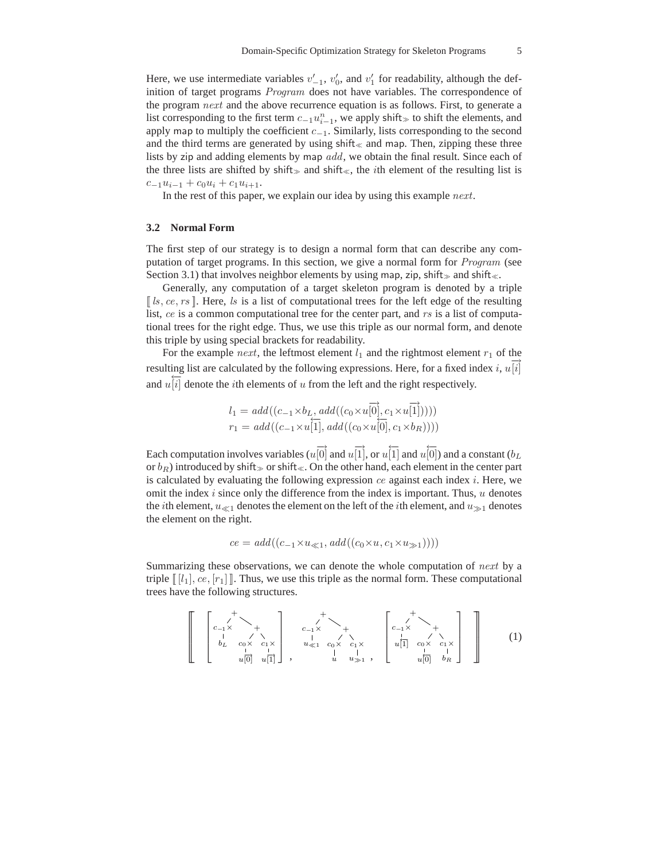Here, we use intermediate variables  $v'_{-1}$ ,  $v'_{0}$ , and  $v'_{1}$  for readability, although the definition of target programs Program does not have variables. The correspondence of the program *next* and the above recurrence equation is as follows. First, to generate a list corresponding to the first term  $c_{-1}u_{i-1}^n$ , we apply shift  $\gg$  to shift the elements, and apply map to multiply the coefficient  $c_{-1}$ . Similarly, lists corresponding to the second and the third terms are generated by using shift≪ and map. Then, zipping these three lists by zip and adding elements by map *add*, we obtain the final result. Since each of the three lists are shifted by shift $\gg$  and shift $\ll$ , the *i*th element of the resulting list is  $c_{-1}u_{i-1} + c_0u_i + c_1u_{i+1}.$ 

In the rest of this paper, we explain our idea by using this example next.

#### **3.2 Normal Form**

The first step of our strategy is to design a normal form that can describe any computation of target programs. In this section, we give a normal form for Program (see Section 3.1) that involves neighbor elements by using map, zip, shift $\gg$  and shift $\ll$ .

Generally, any computation of a target skeleton program is denoted by a triple  $\llbracket l_s, ce, rs \rrbracket$ . Here, ls is a list of computational trees for the left edge of the resulting list, ce is a common computational tree for the center part, and rs is a list of computational trees for the right edge. Thus, we use this triple as our normal form, and denote this triple by using special brackets for readability.

For the example *next*, the leftmost element  $l_1$  and the rightmost element  $r_1$  of the resulting list are calculated by the following expressions. Here, for a fixed index i,  $u[i]$ and  $u[i]$  denote the *i*th elements of u from the left and the right respectively.

$$
l_1 = add((c_{-1} \times b_L, add((c_0 \times u[\overrightarrow{0}], c_1 \times u[\overrightarrow{1}]))))
$$
  

$$
r_1 = add((c_{-1} \times u[\overleftarrow{1}], add((c_0 \times u[\overrightarrow{0}], c_1 \times b_R))))
$$

Each computation involves variables  $(u[0]$  and  $u[1]$ , or  $u[1]$  and  $u[0]$ ) and a constant  $(b_L)$ or  $b_R$ ) introduced by shift $\gg$  or shift $\ll$ . On the other hand, each element in the center part is calculated by evaluating the following expression  $ce$  against each index i. Here, we omit the index  $i$  since only the difference from the index is important. Thus,  $u$  denotes the *i*th element,  $u \ll 1$  denotes the element on the left of the *i*th element, and  $u \gg 1$  denotes the element on the right.

$$
ce = add((c_{-1} \times u_{\ll 1}, add((c_0 \times u, c_1 \times u_{\gg 1}))))
$$

Summarizing these observations, we can denote the whole computation of next by a triple  $[[l_1], ce, [r_1]]$ . Thus, we use this triple as the normal form. These computational trees have the following structures.

$$
\left[\begin{array}{c}\n\begin{pmatrix}\n\cdot & & & & \\
\cdot & & & \\
c_{-1} & & & \\
\cdot & & & \\
b_{L} & c_{0} & c_{1} \times \\
\cdot & & & \cdot \\
& & & u(0) & u(1)\n\end{pmatrix}, \begin{array}{c}\n\cdot & & & & \\
c_{-1} & & & & \\
c_{-1} & & & & \\
& & & & \n\end{array}, \begin{array}{c}\n\cdot & & & \\
c_{-1} & & & & \\
c_{-1} & & & & \\
& & & & \n\end{array}, \begin{array}{c}\n\cdot & & & \\
c_{-1} & & & & \\
c_{-1} & & & & \\
& & & & \n\end{array}\right]
$$
\n(1)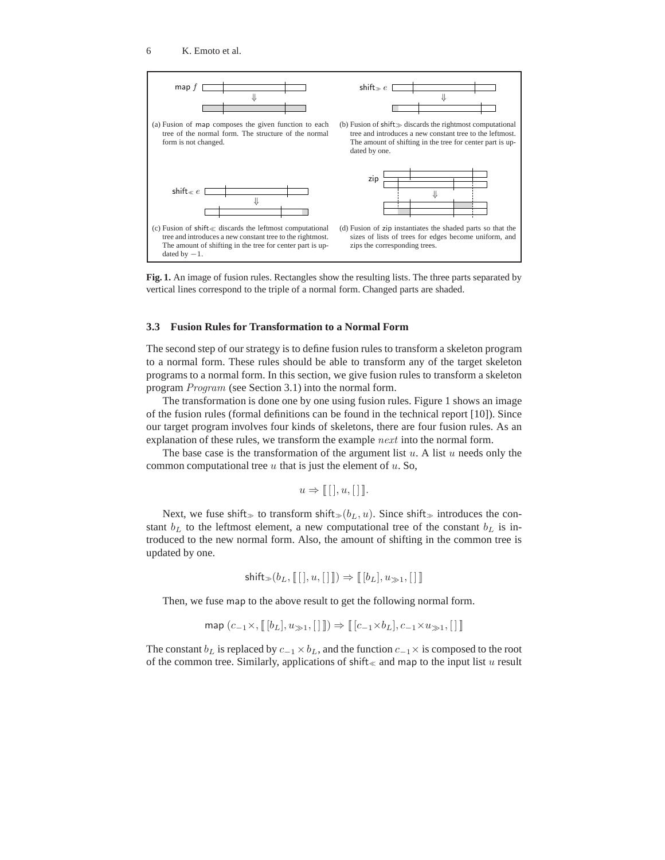

**Fig. 1.** An image of fusion rules. Rectangles show the resulting lists. The three parts separated by vertical lines correspond to the triple of a normal form. Changed parts are shaded.

#### **3.3 Fusion Rules for Transformation to a Normal Form**

The second step of our strategy is to define fusion rules to transform a skeleton program to a normal form. These rules should be able to transform any of the target skeleton programs to a normal form. In this section, we give fusion rules to transform a skeleton program Program (see Section 3.1) into the normal form.

The transformation is done one by one using fusion rules. Figure 1 shows an image of the fusion rules (formal definitions can be found in the technical report [10]). Since our target program involves four kinds of skeletons, there are four fusion rules. As an explanation of these rules, we transform the example next into the normal form.

The base case is the transformation of the argument list  $u$ . A list  $u$  needs only the common computational tree  $u$  that is just the element of  $u$ . So,

$$
u \Rightarrow [[], u, []].
$$

Next, we fuse shift  $\gg$  to transform shift $\gg$ ( $b_L$ ,  $u$ ). Since shift $\gg$  introduces the constant  $b<sub>L</sub>$  to the leftmost element, a new computational tree of the constant  $b<sub>L</sub>$  is introduced to the new normal form. Also, the amount of shifting in the common tree is updated by one.

$$
\textsf{shift}_\gg(b_L, \llbracket\, [\,], u, [\,]\,]\,) \Rightarrow \llbracket\, [b_L], u_{\gg 1}, [\,]\,\rrbracket
$$

Then, we fuse map to the above result to get the following normal form.

$$
\mathsf{map}\ (c_{-1} \times, \llbracket [b_L], u_{\gg 1}, \llbracket \ \rrbracket) \Rightarrow \llbracket [c_{-1} \times b_L], c_{-1} \times u_{\gg 1}, \llbracket \ \rrbracket
$$

The constant  $b<sub>L</sub>$  is replaced by  $c<sub>-1</sub> × b<sub>L</sub>$ , and the function  $c<sub>-1</sub>×$  is composed to the root of the common tree. Similarly, applications of shift  $\ll$  and map to the input list u result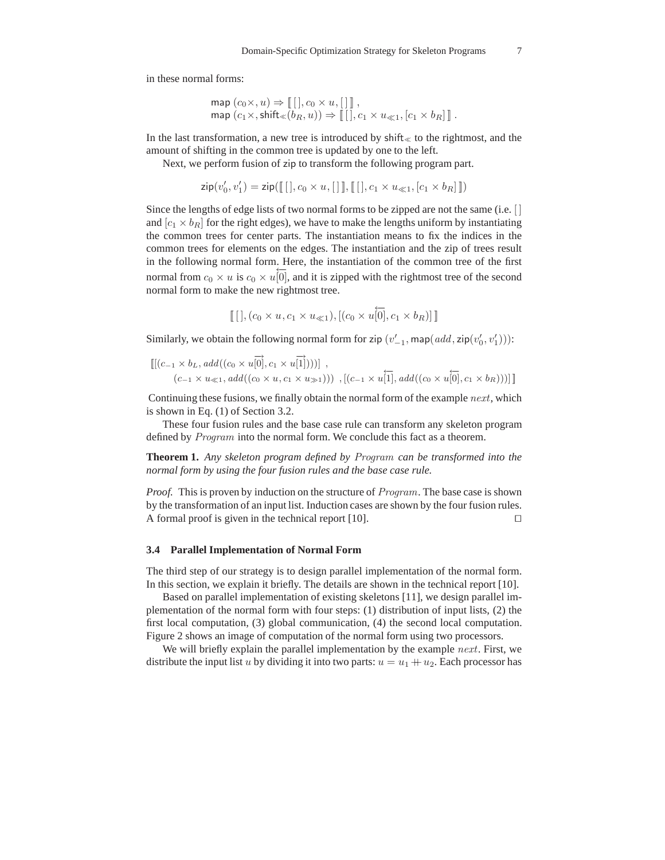in these normal forms:

$$
\begin{array}{l}\n\text{map}(c_0 \times, u) \Rightarrow \llbracket [\,], c_0 \times u, [\,]\rrbracket \,, \\
\text{map}(c_1 \times, \text{shift} \leq (b_R, u)) \Rightarrow \llbracket [\,], c_1 \times u \leq 1, [c_1 \times b_R] \rrbracket \,.\n\end{array}
$$

In the last transformation, a new tree is introduced by shift  $\leq$  to the rightmost, and the amount of shifting in the common tree is updated by one to the left.

Next, we perform fusion of zip to transform the following program part.

$$
\mathsf{zip}(v_0',v_1') = \mathsf{zip}(\llbracket\, [\,], c_0 \times u, [\,]\, \rrbracket, \llbracket\, [\,], c_1 \times u_{\ll 1}, [c_1 \times b_R] \, \rrbracket)
$$

Since the lengths of edge lists of two normal forms to be zipped are not the same (i.e. [ ] and  $[c_1 \times b_R]$  for the right edges), we have to make the lengths uniform by instantiating the common trees for center parts. The instantiation means to fix the indices in the common trees for elements on the edges. The instantiation and the zip of trees result in the following normal form. Here, the instantiation of the common tree of the first normal from  $c_0 \times u$  is  $c_0 \times u[0]$ , and it is zipped with the rightmost tree of the second normal form to make the new rightmost tree.

$$
\llbracket [\,],(c_0\times u,c_1\times u_{\ll 1}),[(c_0\times u\overleftarrow{[0]},c_1\times b_R)]\rrbracket
$$

Similarly, we obtain the following normal form for zip  $(v'_{-1}, \text{map}(add, \text{zip}(v'_0, v'_1)))$ :

$$
\begin{array}{ll}\n[[(c_{-1} \times b_L, add((c_0 \times u[0], c_1 \times u[1])))\n\quad (c_{-1} \times u_{\ll 1}, add((c_0 \times u, c_1 \times u_{\gg 1})))\n\end{array}, [(c_{-1} \times u[1], add((c_0 \times u[0], c_1 \times b_R)))]\n\end{array}
$$

Continuing these fusions, we finally obtain the normal form of the example *next*, which is shown in Eq. (1) of Section 3.2.

These four fusion rules and the base case rule can transform any skeleton program defined by *Program* into the normal form. We conclude this fact as a theorem.

**Theorem 1.** *Any skeleton program defined by* Program *can be transformed into the normal form by using the four fusion rules and the base case rule.*

*Proof.* This is proven by induction on the structure of *Program*. The base case is shown by the transformation of an input list. Induction cases are shown by the four fusion rules. A formal proof is given in the technical report [10]. □

#### **3.4 Parallel Implementation of Normal Form**

The third step of our strategy is to design parallel implementation of the normal form. In this section, we explain it briefly. The details are shown in the technical report [10].

Based on parallel implementation of existing skeletons [11], we design parallel implementation of the normal form with four steps: (1) distribution of input lists, (2) the first local computation, (3) global communication, (4) the second local computation. Figure 2 shows an image of computation of the normal form using two processors.

We will briefly explain the parallel implementation by the example  $next$ . First, we distribute the input list u by dividing it into two parts:  $u = u_1 + u_2$ . Each processor has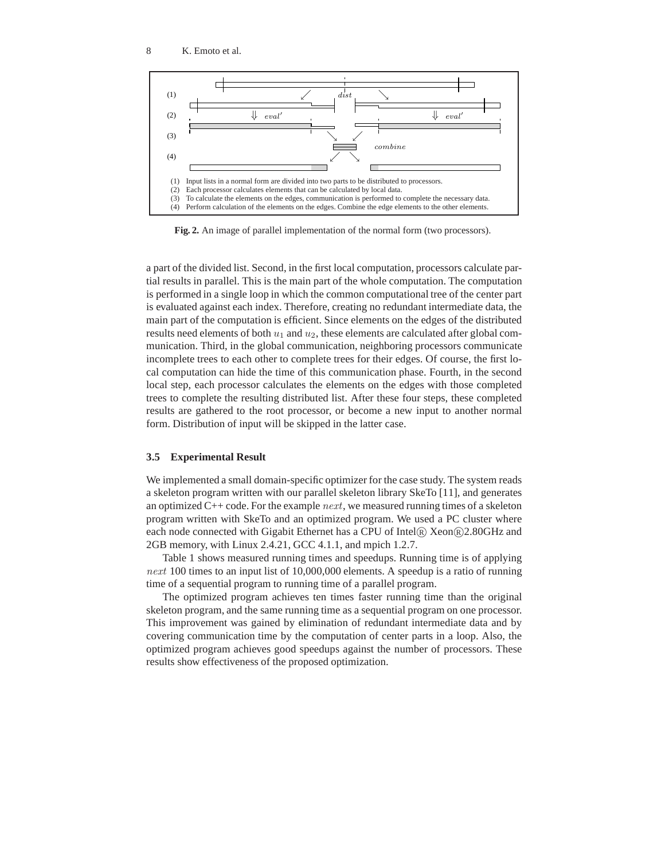

**Fig. 2.** An image of parallel implementation of the normal form (two processors).

a part of the divided list. Second, in the first local computation, processors calculate partial results in parallel. This is the main part of the whole computation. The computation is performed in a single loop in which the common computational tree of the center part is evaluated against each index. Therefore, creating no redundant intermediate data, the main part of the computation is efficient. Since elements on the edges of the distributed results need elements of both  $u_1$  and  $u_2$ , these elements are calculated after global communication. Third, in the global communication, neighboring processors communicate incomplete trees to each other to complete trees for their edges. Of course, the first local computation can hide the time of this communication phase. Fourth, in the second local step, each processor calculates the elements on the edges with those completed trees to complete the resulting distributed list. After these four steps, these completed results are gathered to the root processor, or become a new input to another normal form. Distribution of input will be skipped in the latter case.

#### **3.5 Experimental Result**

We implemented a small domain-specific optimizer for the case study. The system reads a skeleton program written with our parallel skeleton library SkeTo [11], and generates an optimized  $C++$  code. For the example  $next$ , we measured running times of a skeleton program written with SkeTo and an optimized program. We used a PC cluster where each node connected with Gigabit Ethernet has a CPU of Intel® Xeon® 2.80 GHz and 2GB memory, with Linux 2.4.21, GCC 4.1.1, and mpich 1.2.7.

Table 1 shows measured running times and speedups. Running time is of applying *next* 100 times to an input list of 10,000,000 elements. A speedup is a ratio of running time of a sequential program to running time of a parallel program.

The optimized program achieves ten times faster running time than the original skeleton program, and the same running time as a sequential program on one processor. This improvement was gained by elimination of redundant intermediate data and by covering communication time by the computation of center parts in a loop. Also, the optimized program achieves good speedups against the number of processors. These results show effectiveness of the proposed optimization.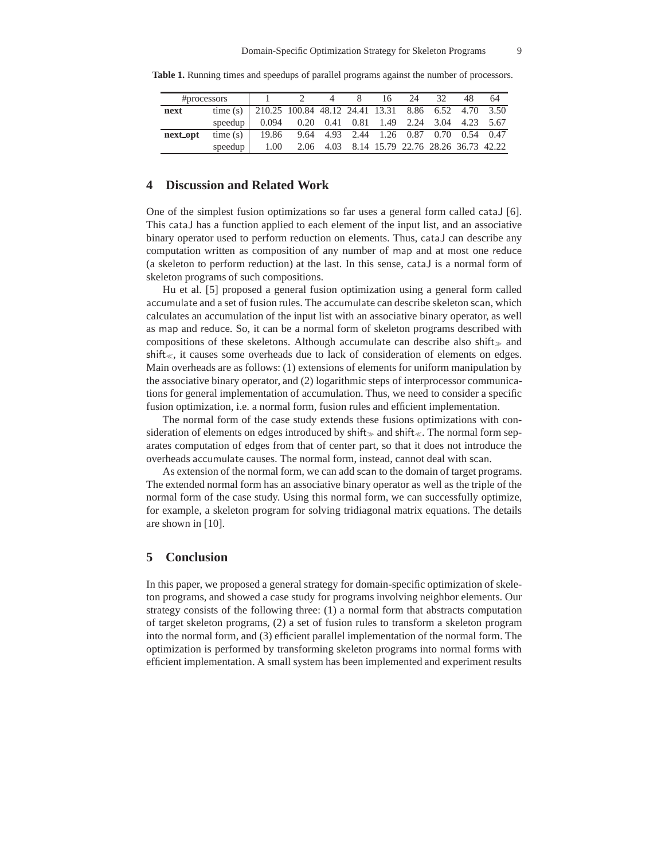| # <sub>processors</sub> |                                                                         |                                                       | 4 8 | 16 24 32 | 48 | 64 |
|-------------------------|-------------------------------------------------------------------------|-------------------------------------------------------|-----|----------|----|----|
| next                    | time (s) 210.25 100.84 48.12 24.41 13.31 8.86 6.52 4.70 3.50            |                                                       |     |          |    |    |
|                         | speedup   0.094   0.20   0.41   0.81   1.49   2.24   3.04   4.23   5.67 |                                                       |     |          |    |    |
| next_opt                | time $(s)$                                                              | 19.86  9.64  4.93  2.44  1.26  0.87  0.70  0.54  0.47 |     |          |    |    |
|                         | speedup                                                                 | 1.00 2.06 4.03 8.14 15.79 22.76 28.26 36.73 42.22     |     |          |    |    |

**Table 1.** Running times and speedups of parallel programs against the number of processors.

# **4 Discussion and Related Work**

One of the simplest fusion optimizations so far uses a general form called cataJ [6]. This cataJ has a function applied to each element of the input list, and an associative binary operator used to perform reduction on elements. Thus, cataJ can describe any computation written as composition of any number of map and at most one reduce (a skeleton to perform reduction) at the last. In this sense, cataJ is a normal form of skeleton programs of such compositions.

Hu et al. [5] proposed a general fusion optimization using a general form called accumulate and a set of fusion rules. The accumulate can describe skeleton scan, which calculates an accumulation of the input list with an associative binary operator, as well as map and reduce. So, it can be a normal form of skeleton programs described with compositions of these skeletons. Although accumulate can describe also shift $\gg$  and shift≪, it causes some overheads due to lack of consideration of elements on edges. Main overheads are as follows: (1) extensions of elements for uniform manipulation by the associative binary operator, and (2) logarithmic steps of interprocessor communications for general implementation of accumulation. Thus, we need to consider a specific fusion optimization, i.e. a normal form, fusion rules and efficient implementation.

The normal form of the case study extends these fusions optimizations with consideration of elements on edges introduced by shift≫ and shift≪. The normal form separates computation of edges from that of center part, so that it does not introduce the overheads accumulate causes. The normal form, instead, cannot deal with scan.

As extension of the normal form, we can add scan to the domain of target programs. The extended normal form has an associative binary operator as well as the triple of the normal form of the case study. Using this normal form, we can successfully optimize, for example, a skeleton program for solving tridiagonal matrix equations. The details are shown in [10].

## **5 Conclusion**

In this paper, we proposed a general strategy for domain-specific optimization of skeleton programs, and showed a case study for programs involving neighbor elements. Our strategy consists of the following three: (1) a normal form that abstracts computation of target skeleton programs, (2) a set of fusion rules to transform a skeleton program into the normal form, and (3) efficient parallel implementation of the normal form. The optimization is performed by transforming skeleton programs into normal forms with efficient implementation. A small system has been implemented and experiment results